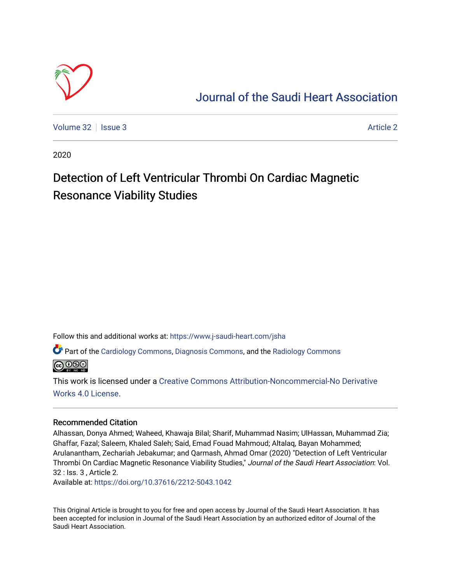

# [Journal of the Saudi Heart Association](https://www.j-saudi-heart.com/jsha)

[Volume 32](https://www.j-saudi-heart.com/jsha/vol32) | [Issue 3](https://www.j-saudi-heart.com/jsha/vol32/iss3) [Article 2](https://www.j-saudi-heart.com/jsha/vol32/iss3/2) Article 2 Article 2 Article 2 Article 2 Article 2 Article 2 Article 2 Article 2

2020

# Detection of Left Ventricular Thrombi On Cardiac Magnetic Resonance Viability Studies

Follow this and additional works at: [https://www.j-saudi-heart.com/jsha](https://www.j-saudi-heart.com/jsha?utm_source=www.j-saudi-heart.com%2Fjsha%2Fvol32%2Fiss3%2F2&utm_medium=PDF&utm_campaign=PDFCoverPages) 

Part of the [Cardiology Commons](http://network.bepress.com/hgg/discipline/683?utm_source=www.j-saudi-heart.com%2Fjsha%2Fvol32%2Fiss3%2F2&utm_medium=PDF&utm_campaign=PDFCoverPages), [Diagnosis Commons](http://network.bepress.com/hgg/discipline/945?utm_source=www.j-saudi-heart.com%2Fjsha%2Fvol32%2Fiss3%2F2&utm_medium=PDF&utm_campaign=PDFCoverPages), and the Radiology Commons

**@** 00

This work is licensed under a [Creative Commons Attribution-Noncommercial-No Derivative](http://creativecommons.org/licenses/by-nc-nd/4.0/)  [Works 4.0 License](http://creativecommons.org/licenses/by-nc-nd/4.0/).

# Recommended Citation

Alhassan, Donya Ahmed; Waheed, Khawaja Bilal; Sharif, Muhammad Nasim; UlHassan, Muhammad Zia; Ghaffar, Fazal; Saleem, Khaled Saleh; Said, Emad Fouad Mahmoud; Altalaq, Bayan Mohammed; Arulanantham, Zechariah Jebakumar; and Qarmash, Ahmad Omar (2020) "Detection of Left Ventricular Thrombi On Cardiac Magnetic Resonance Viability Studies," Journal of the Saudi Heart Association: Vol. 32 : Iss. 3 , Article 2.

Available at:<https://doi.org/10.37616/2212-5043.1042>

This Original Article is brought to you for free and open access by Journal of the Saudi Heart Association. It has been accepted for inclusion in Journal of the Saudi Heart Association by an authorized editor of Journal of the Saudi Heart Association.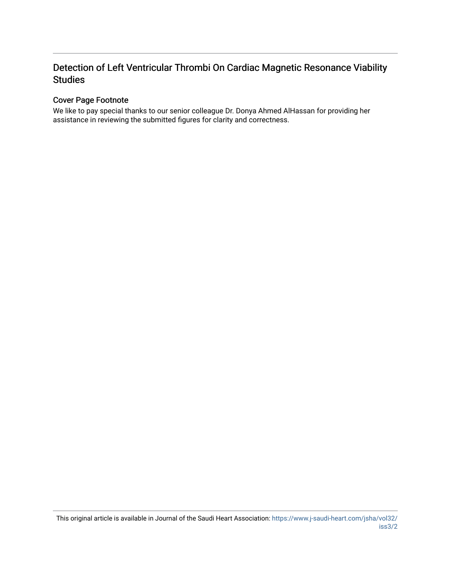# Detection of Left Ventricular Thrombi On Cardiac Magnetic Resonance Viability Studies

# Cover Page Footnote

We like to pay special thanks to our senior colleague Dr. Donya Ahmed AlHassan for providing her assistance in reviewing the submitted figures for clarity and correctness.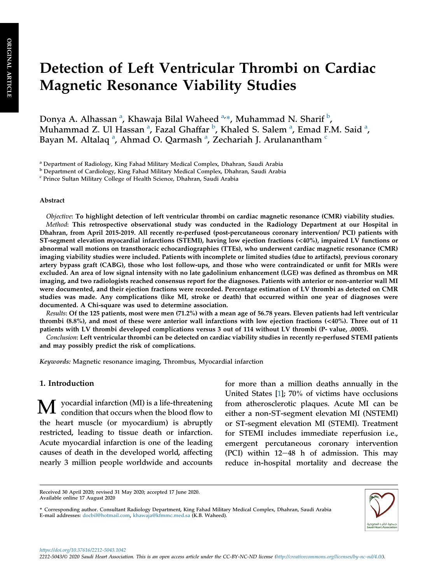# Detection of Left Ventricular Thrombi on Cardiac Magnetic Resonance Viability Studies

Dony[a](#page-2-0) A. Alhassan <sup>a</sup>, Khawaja Bilal Waheed <sup>a,</sup>\*, Muhammad N. Sharif <sup>[b](#page-2-1)</sup>, Muh[a](#page-2-0)mmad Z. Ul Hassan <sup>a</sup>, Fazal Ghaffar <sup>[b](#page-2-1)</sup>, Khaled S. Salem <sup>a</sup>, Emad F.M. Said <sup>a</sup>, B[a](#page-2-0)yan M. Altalaq <sup>a</sup>, Ahmad O. Qarmash <sup>a</sup>, Ze[c](#page-2-2)hariah J. Arulanantham <sup>c</sup>

<span id="page-2-0"></span><sup>a</sup> Department of Radiology, King Fahad Military Medical Complex, Dhahran, Saudi Arabia

<span id="page-2-1"></span><sup>b</sup> Department of Cardiology, King Fahad Military Medical Complex, Dhahran, Saudi Arabia

<span id="page-2-2"></span><sup>c</sup> Prince Sultan Military College of Health Science, Dhahran, Saudi Arabia

#### Abstract

Objective: To highlight detection of left ventricular thrombi on cardiac magnetic resonance (CMR) viability studies. Method: This retrospective observational study was conducted in the Radiology Department at our Hospital in Dhahran, from April 2015-2019. All recently re-perfused (post-percutaneous coronary intervention/ PCI) patients with ST-segment elevation myocardial infarctions (STEMI), having low ejection fractions (<40%), impaired LV functions or abnormal wall motions on transthoracic echocardiographies (TTEs), who underwent cardiac magnetic resonance (CMR) imaging viability studies were included. Patients with incomplete or limited studies (due to artifacts), previous coronary artery bypass graft (CABG), those who lost follow-ups, and those who were contraindicated or unfit for MRIs were excluded. An area of low signal intensity with no late gadolinium enhancement (LGE) was defined as thrombus on MR imaging, and two radiologists reached consensus report for the diagnoses. Patients with anterior or non-anterior wall MI were documented, and their ejection fractions were recorded. Percentage estimation of LV thrombi as detected on CMR studies was made. Any complications (like MI, stroke or death) that occurred within one year of diagnoses were documented. A Chi-square was used to determine association.

Results: Of the 125 patients, most were men (71.2%) with a mean age of 56.78 years. Eleven patients had left ventricular thrombi (8.8%), and most of these were anterior wall infarctions with low ejection fractions (<40%). Three out of 11 patients with LV thrombi developed complications versus 3 out of 114 without LV thrombi (P- value, .0005).

Conclusion: Left ventricular thrombi can be detected on cardiac viability studies in recently re-perfused STEMI patients and may possibly predict the risk of complications.

Keywords: Magnetic resonance imaging, Thrombus, Myocardial infarction

## 1. Introduction

 $\bf{M} \rm \;$  yocardial infarction (MI) is a life-threatening condition that occurs when the blood flow to the heart muscle (or myocardium) is abruptly restricted, leading to tissue death or infarction. Acute myocardial infarction is one of the leading causes of death in the developed world, affecting nearly 3 million people worldwide and accounts for more than a million deaths annually in the United States [\[1\]](#page-9-0); 70% of victims have occlusions from atherosclerotic plaques. Acute MI can be either a non-ST-segment elevation MI (NSTEMI) or ST-segment elevation MI (STEMI). Treatment for STEMI includes immediate reperfusion i.e., emergent percutaneous coronary intervention (PCI) within  $12-48$  h of admission. This may reduce in-hospital mortality and decrease the

<sup>\*</sup> Corresponding author. Consultant Radiology Department, King Fahad Military Medical Complex, Dhahran, Saudi Arabia E-mail addresses: [docbil@hotmail.com,](mailto:docbil@hotmail.com) [khawaja@kfmmc.med.sa](mailto:khawaja@kfmmc.med.sa) (K.B. Waheed).



Received 30 April 2020; revised 31 May 2020; accepted 17 June 2020. Available online 17 August 2020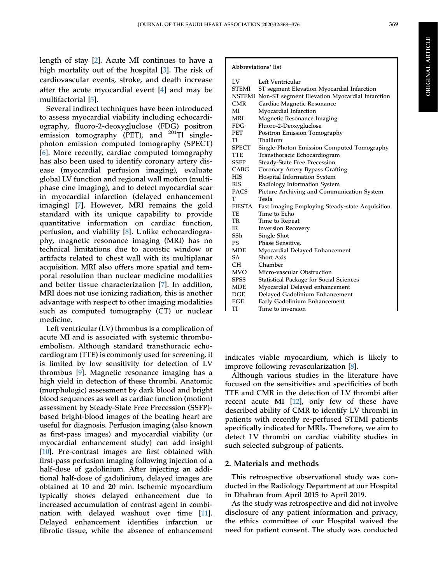length of stay [\[2](#page-9-1)]. Acute MI continues to have a high mortality out of the hospital [\[3\]](#page-9-2). The risk of cardiovascular events, stroke, and death increase after the acute myocardial event [\[4](#page-9-3)] and may be multifactorial [[5\]](#page-9-4).

Several indirect techniques have been introduced to assess myocardial viability including echocardiography, fluoro-2-deoxygluclose (FDG) positron emission tomography (PET), and  $^{201}$ Tl singlephoton emission computed tomography (SPECT) [\[6](#page-9-5)]. More recently, cardiac computed tomography has also been used to identify coronary artery disease (myocardial perfusion imaging), evaluate global LV function and regional wall motion (multiphase cine imaging), and to detect myocardial scar in myocardial infarction (delayed enhancement imaging) [\[7](#page-9-6)]. However, MRI remains the gold standard with its unique capability to provide quantitative information on cardiac function, perfusion, and viability [\[8](#page-9-7)]. Unlike echocardiography, magnetic resonance imaging (MRI) has no technical limitations due to acoustic window or artifacts related to chest wall with its multiplanar acquisition. MRI also offers more spatial and temporal resolution than nuclear medicine modalities and better tissue characterization [[7](#page-9-6)]. In addition, MRI does not use ionizing radiation, this is another advantage with respect to other imaging modalities such as computed tomography (CT) or nuclear medicine.

Left ventricular (LV) thrombus is a complication of acute MI and is associated with systemic thromboembolism. Although standard transthoracic echocardiogram (TTE) is commonly used for screening, it is limited by low sensitivity for detection of LV thrombus [\[9](#page-9-8)]. Magnetic resonance imaging has a high yield in detection of these thrombi. Anatomic (morphologic) assessment by dark blood and bright blood sequences as well as cardiac function (motion) assessment by Steady-State Free Precession (SSFP) based bright-blood images of the beating heart are useful for diagnosis. Perfusion imaging (also known as first-pass images) and myocardial viability (or myocardial enhancement study) can add insight [\[10](#page-9-9)]. Pre-contrast images are first obtained with first-pass perfusion imaging following injection of a half-dose of gadolinium. After injecting an additional half-dose of gadolinium, delayed images are obtained at 10 and 20 min. Ischemic myocardium typically shows delayed enhancement due to increased accumulation of contrast agent in combination with delayed washout over time [\[11](#page-9-10)]. Delayed enhancement identifies infarction or fibrotic tissue, while the absence of enhancement

#### Abbreviations' list

| LV            | Left Ventricular                                      |
|---------------|-------------------------------------------------------|
| <b>STEMI</b>  | ST segment Elevation Myocardial Infarction            |
|               | NSTEMI Non-ST segment Elevation Myocardial Infarction |
| <b>CMR</b>    | Cardiac Magnetic Resonance                            |
| МĪ            | Myocardial Infarction                                 |
| <b>MRI</b>    | Magnetic Resonance Imaging                            |
| <b>FDG</b>    | Fluoro-2-Deoxygluclose                                |
| <b>PET</b>    | Positron Emission Tomography                          |
| TI            | Thallium                                              |
| SPECT         | Single-Photon Emission Computed Tomography            |
| TTE           | Transthoracic Echocardiogram                          |
| SSFP          | <b>Steady-State Free Precession</b>                   |
| CABG          | Coronary Artery Bypass Grafting                       |
| <b>HIS</b>    | Hospital Information System                           |
| <b>RIS</b>    | Radiology Information System                          |
| PACS          | Picture Archiving and Communication System            |
| т             | Tesla                                                 |
| <b>FIESTA</b> | Fast Imaging Employing Steady-state Acquisition       |
| TE            | Time to Echo                                          |
| TR            | Time to Repeat                                        |
| <b>IR</b>     | <b>Inversion Recovery</b>                             |
| SSh           | Single Shot                                           |
| PS            | Phase Sensitive,                                      |
| <b>MDE</b>    | Myocardial Delayed Enhancement                        |
| SA            | <b>Short Axis</b>                                     |
| <b>CH</b>     | Chamber                                               |
| MVO           | Micro-vascular Obstruction                            |
| <b>SPSS</b>   | <b>Statistical Package for Social Sciences</b>        |
| MDE           | Myocardial Delayed enhancement                        |
| DGE           | Delayed Gadolinium Enhancement                        |
| <b>EGE</b>    | Early Gadolinium Enhancement                          |
| TI            | Time to inversion                                     |

indicates viable myocardium, which is likely to improve following revascularization [[8\]](#page-9-7).

Although various studies in the literature have focused on the sensitivities and specificities of both TTE and CMR in the detection of LV thrombi after recent acute MI [[12\]](#page-9-11), only few of these have described ability of CMR to identify LV thrombi in patients with recently re-perfused STEMI patients specifically indicated for MRIs. Therefore, we aim to detect LV thrombi on cardiac viability studies in such selected subgroup of patients.

# 2. Materials and methods

This retrospective observational study was conducted in the Radiology Department at our Hospital in Dhahran from April 2015 to April 2019.

As the study was retrospective and did not involve disclosure of any patient information and privacy, the ethics committee of our Hospital waived the need for patient consent. The study was conducted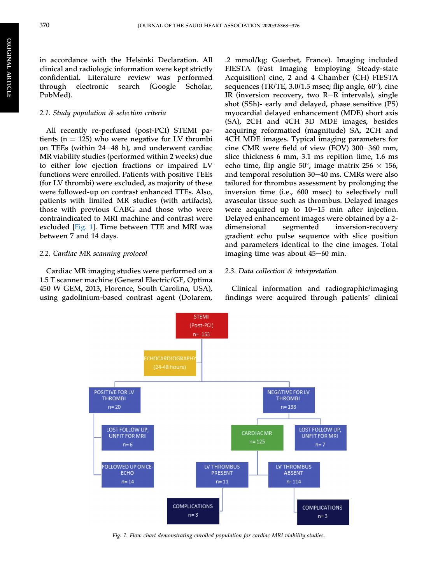in accordance with the Helsinki Declaration. All clinical and radiologic information were kept strictly confidential. Literature review was performed through electronic search (Google Scholar, PubMed).

#### 2.1. Study population & selection criteria

All recently re-perfused (post-PCI) STEMI patients ( $n = 125$ ) who were negative for LV thrombi on TEEs (within  $24-48$  h), and underwent cardiac MR viability studies (performed within 2 weeks) due to either low ejection fractions or impaired LV functions were enrolled. Patients with positive TEEs (for LV thrombi) were excluded, as majority of these were followed-up on contrast enhanced TTEs. Also, patients with limited MR studies (with artifacts), those with previous CABG and those who were contraindicated to MRI machine and contrast were excluded [[Fig. 1\]](#page-4-0). Time between TTE and MRI was between 7 and 14 days.

### 2.2. Cardiac MR scanning protocol

<span id="page-4-0"></span>Cardiac MR imaging studies were performed on a 1.5 T scanner machine (General Electric/GE, Optima 450 W GEM, 2013, Florence, South Carolina, USA), using gadolinium-based contrast agent (Dotarem,

.2 mmol/kg; Guerbet, France). Imaging included FIESTA (Fast Imaging Employing Steady-state Acquisition) cine, 2 and 4 Chamber (CH) FIESTA sequences (TR/TE, 3.0/1.5 msec; flip angle, 60°), cine IR (inversion recovery, two  $R-R$  intervals), single shot (SSh)- early and delayed, phase sensitive (PS) myocardial delayed enhancement (MDE) short axis (SA), 2CH and 4CH 3D MDE images, besides acquiring reformatted (magnitude) SA, 2CH and 4CH MDE images. Typical imaging parameters for cine CMR were field of view (FOV) 300-360 mm, slice thickness 6 mm, 3.1 ms repition time, 1.6 ms echo time, flip angle 50°, image matrix 256  $\times$  156, and temporal resolution  $30-40$  ms. CMRs were also tailored for thrombus assessment by prolonging the inversion time (i.e., 600 msec) to selectively null avascular tissue such as thrombus. Delayed images were acquired up to  $10-15$  min after injection. Delayed enhancement images were obtained by a 2 dimensional segmented inversion-recovery gradient echo pulse sequence with slice position and parameters identical to the cine images. Total imaging time was about  $45-60$  min.

#### 2.3. Data collection & interpretation

Clinical information and radiographic/imaging findings were acquired through patients' clinical



Fig. 1. Flow chart demonstrating enrolled population for cardiac MRI viability studies.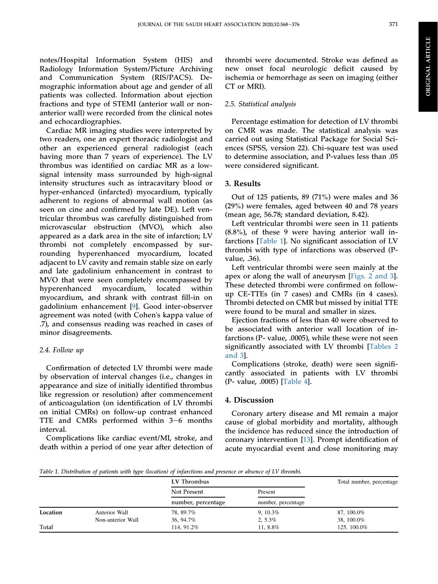notes/Hospital Information System (HIS) and Radiology Information System/Picture Archiving and Communication System (RIS/PACS). Demographic information about age and gender of all patients was collected. Information about ejection fractions and type of STEMI (anterior wall or nonanterior wall) were recorded from the clinical notes and echocardiographies.

Cardiac MR imaging studies were interpreted by two readers, one an expert thoracic radiologist and other an experienced general radiologist (each having more than 7 years of experience). The LV thrombus was identified on cardiac MR as a lowsignal intensity mass surrounded by high-signal intensity structures such as intracavitary blood or hyper-enhanced (infarcted) myocardium, typically adherent to regions of abnormal wall motion (as seen on cine and confirmed by late DE). Left ventricular thrombus was carefully distinguished from microvascular obstruction (MVO), which also appeared as a dark area in the site of infarction; LV thrombi not completely encompassed by surrounding hyperenhanced myocardium, located adjacent to LV cavity and remain stable size on early and late gadolinium enhancement in contrast to MVO that were seen completely encompassed by hyperenhanced myocardium, located within myocardium, and shrank with contrast fill-in on gadolinium enhancement [[9\]](#page-9-8). Good inter-observer agreement was noted (with Cohen's kappa value of .7), and consensus reading was reached in cases of minor disagreements.

# 2.4. Follow up

Confirmation of detected LV thrombi were made by observation of interval changes (i.e., changes in appearance and size of initially identified thrombus like regression or resolution) after commencement of anticoagulation (on identification of LV thrombi on initial CMRs) on follow-up contrast enhanced TTE and CMRs performed within  $3-6$  months interval.

Complications like cardiac event/MI, stroke, and death within a period of one year after detection of thrombi were documented. Stroke was defined as new onset focal neurologic deficit caused by ischemia or hemorrhage as seen on imaging (either CT or MRI).

# 2.5. Statistical analysis

Percentage estimation for detection of LV thrombi on CMR was made. The statistical analysis was carried out using Statistical Package for Social Sciences (SPSS, version 22). Chi-square test was used to determine association, and P-values less than .05 were considered significant.

# 3. Results

Out of 125 patients, 89 (71%) were males and 36 (29%) were females, aged between 40 and 78 years (mean age, 56.78; standard deviation, 8.42).

Left ventricular thrombi were seen in 11 patients (8.8%), of these 9 were having anterior wall infarctions [[Table 1\]](#page-5-0). No significant association of LV thrombi with type of infarctions was observed (Pvalue, .36).

Left ventricular thrombi were seen mainly at the apex or along the wall of aneurysm [\[Figs. 2 and 3\]](#page-6-0). These detected thrombi were confirmed on followup CE-TTEs (in 7 cases) and CMRs (in 4 cases). Thrombi detected on CMR but missed by initial TTE were found to be mural and smaller in sizes.

Ejection fractions of less than 40 were observed to be associated with anterior wall location of infarctions (P- value, .0005), while these were not seen significantly associated with LV thrombi [\[Tables 2](#page-7-0) [and 3\]](#page-7-0).

Complications (stroke, death) were seen significantly associated in patients with LV thrombi (P- value, .0005) [\[Table 4\]](#page-8-0).

# 4. Discussion

Coronary artery disease and MI remain a major cause of global morbidity and mortality, although the incidence has reduced since the introduction of coronary intervention [\[13](#page-9-12)]. Prompt identification of acute myocardial event and close monitoring may

<span id="page-5-0"></span>Table 1. Distribution of patients with type (location) of infarctions and presence or absence of LV thrombi.

|          |                   | LV Thrombus                       |                               | Total number, percentage |
|----------|-------------------|-----------------------------------|-------------------------------|--------------------------|
|          |                   | Not Present<br>number, percentage | Present<br>number, percentage |                          |
|          |                   |                                   |                               |                          |
| Location | Anterior Wall     | 78, 89.7%                         | $9, 10.3\%$                   | 87, 100.0%               |
|          | Non-anterior Wall | 36, 94.7%                         | $2, 5.3\%$                    | 38, 100.0%               |
| Total    |                   | 114, 91.2%                        | 11, 8.8%                      | 125, 100.0%              |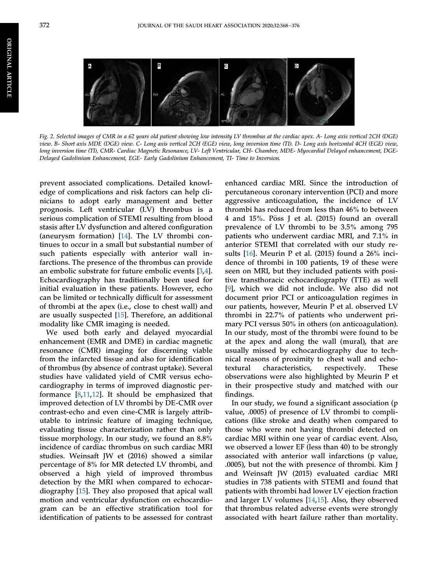<span id="page-6-0"></span>ORIGINAL

**ORIGINAL ARTICLE** 

ARTICLE



Fig. 2. Selected images of CMR in a 62 years old patient showing low intensity LV thrombus at the cardiac apex. A- Long axis vertical 2CH (DGE) view. B- Short axis MDE (DGE) view. C- Long axis vertical 2CH (EGE) view, long inversion time (TI). D- Long axis horizontal 4CH (EGE) view, long inversion time (TI), CMR- Cardiac Magnetic Resonance, LV- Left Ventricular, CH- Chamber, MDE- Myocardial Delayed enhancement, DGE-Delayed Gadolinium Enhancement, EGE- Early Gadolinium Enhancement, TI- Time to Inversion.

prevent associated complications. Detailed knowledge of complications and risk factors can help clinicians to adopt early management and better prognosis. Left ventricular (LV) thrombus is a serious complication of STEMI resulting from blood stasis after LV dysfunction and altered configuration (aneurysm formation) [\[14](#page-9-13)]. The LV thrombi continues to occur in a small but substantial number of such patients especially with anterior wall infarctions. The presence of the thrombus can provide an embolic substrate for future embolic events [[3](#page-9-2)[,4](#page-9-3)]. Echocardiography has traditionally been used for initial evaluation in these patients. However, echo can be limited or technically difficult for assessment of thrombi at the apex (i.e., close to chest wall) and are usually suspected [\[15](#page-9-14)]. Therefore, an additional modality like CMR imaging is needed.

We used both early and delayed myocardial enhancement (EMR and DME) in cardiac magnetic resonance (CMR) imaging for discerning viable from the infarcted tissue and also for identification of thrombus (by absence of contrast uptake). Several studies have validated yield of CMR versus echocardiography in terms of improved diagnostic performance [\[8](#page-9-7),[11,](#page-9-10)[12](#page-9-11)]. It should be emphasized that improved detection of LV thrombi by DE-CMR over contrast-echo and even cine-CMR is largely attributable to intrinsic feature of imaging technique, evaluating tissue characterization rather than only tissue morphology. In our study, we found an 8.8% incidence of cardiac thrombus on such cardiac MRI studies. Weinsaft JW et (2016) showed a similar percentage of 8% for MR detected LV thrombi, and observed a high yield of improved thrombus detection by the MRI when compared to echocardiography [[15\]](#page-9-14). They also proposed that apical wall motion and ventricular dysfunction on echocardiogram can be an effective stratification tool for identification of patients to be assessed for contrast enhanced cardiac MRI. Since the introduction of percutaneous coronary intervention (PCI) and more aggressive anticoagulation, the incidence of LV thrombi has reduced from less than 46% to between 4 and  $15\%$ . Pöss J et al. (2015) found an overall prevalence of LV thrombi to be 3.5% among 795 patients who underwent cardiac MRI, and 7.1% in anterior STEMI that correlated with our study results [\[16](#page-9-15)]. Meurin P et al. (2015) found a 26% incidence of thrombi in 100 patients, 19 of these were seen on MRI, but they included patients with positive transthoracic echocardiography (TTE) as well [\[9](#page-9-8)], which we did not include. We also did not document prior PCI or anticoagulation regimes in our patients, however, Meurin P et al. observed LV thrombi in 22.7% of patients who underwent primary PCI versus 50% in others (on anticoagulation). In our study, most of the thrombi were found to be at the apex and along the wall (mural), that are usually missed by echocardiography due to technical reasons of proximity to chest wall and echotextural characteristics, respectively. These observations were also highlighted by Meurin P et in their prospective study and matched with our findings.

In our study, we found a significant association (p value, .0005) of presence of LV thrombi to complications (like stroke and death) when compared to those who were not having thrombi detected on cardiac MRI within one year of cardiac event. Also, we observed a lower EF (less than 40) to be strongly associated with anterior wall infarctions (p value, .0005), but not the with presence of thrombi. Kim J and Weinsaft JW (2015) evaluated cardiac MRI studies in 738 patients with STEMI and found that patients with thrombi had lower LV ejection fraction and larger LV volumes [[14](#page-9-13)[,15](#page-9-14)]. Also, they observed that thrombus related adverse events were strongly associated with heart failure rather than mortality.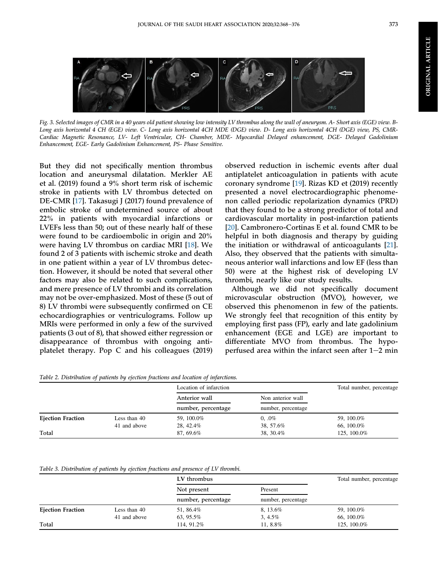

Fig. 3. Selected images of CMR in a 40 years old patient showing low intensity LV thrombus along the wall of aneurysm. A- Short axis (EGE) view. B-Long axis horizontal 4 CH (EGE) view. C- Long axis horizontal 4CH MDE (DGE) view. D- Long axis horizontal 4CH (DGE) view, PS, CMR-Cardiac Magnetic Resonance, LV- Left Ventricular, CH- Chamber, MDE- Myocardial Delayed enhancement, DGE- Delayed Gadolinium Enhancement, EGE- Early Gadolinium Enhancement, PS- Phase Sensitive.

But they did not specifically mention thrombus location and aneurysmal dilatation. Merkler AE et al. (2019) found a 9% short term risk of ischemic stroke in patients with LV thrombus detected on DE-CMR [[17\]](#page-9-16). Takasugi J (2017) found prevalence of embolic stroke of undetermined source of about 22% in patients with myocardial infarctions or LVEFs less than 50; out of these nearly half of these were found to be cardioembolic in origin and 20% were having LV thrombus on cardiac MRI [[18\]](#page-9-17). We found 2 of 3 patients with ischemic stroke and death in one patient within a year of LV thrombus detection. However, it should be noted that several other factors may also be related to such complications, and mere presence of LV thrombi and its correlation may not be over-emphasized. Most of these (5 out of 8) LV thrombi were subsequently confirmed on CE echocardiographies or ventriculograms. Follow up MRIs were performed in only a few of the survived patients (3 out of 8), that showed either regression or disappearance of thrombus with ongoing antiplatelet therapy. Pop C and his colleagues (2019)

observed reduction in ischemic events after dual antiplatelet anticoagulation in patients with acute coronary syndrome [[19\]](#page-9-18). Rizas KD et (2019) recently presented a novel electrocardiographic phenomenon called periodic repolarization dynamics (PRD) that they found to be a strong predictor of total and cardiovascular mortality in post-infarction patients [\[20](#page-9-19)]. Cambronero-Cortinas E et al. found CMR to be helpful in both diagnosis and therapy by guiding the initiation or withdrawal of anticoagulants [[21\]](#page-9-20). Also, they observed that the patients with simultaneous anterior wall infarctions and low EF (less than 50) were at the highest risk of developing LV thrombi, nearly like our study results.

Although we did not specifically document microvascular obstruction (MVO), however, we observed this phenomenon in few of the patients. We strongly feel that recognition of this entity by employing first pass (FP), early and late gadolinium enhancement (EGE and LGE) are important to differentiate MVO from thrombus. The hypoperfused area within the infarct seen after  $1-2$  min

<span id="page-7-0"></span>Table 2. Distribution of patients by ejection fractions and location of infarctions.

|                          |              | Location of infarction              |                                         | Total number, percentage |
|--------------------------|--------------|-------------------------------------|-----------------------------------------|--------------------------|
|                          |              | Anterior wall<br>number, percentage | Non anterior wall<br>number, percentage |                          |
|                          |              |                                     |                                         |                          |
| <b>Ejection Fraction</b> | Less than 40 | 59, 100.0%                          | $0, .0\%$                               | 59, 100.0%               |
|                          | 41 and above | 28, 42.4%                           | 38, 57.6%                               | 66, 100.0%               |
| Total                    |              | 87, 69.6%                           | 38, 30.4%                               | 125, 100.0%              |

Table 3. Distribution of patients by ejection fractions and presence of LV thrombi.

|                          |              | LV thrombus                       |                               | Total number, percentage |
|--------------------------|--------------|-----------------------------------|-------------------------------|--------------------------|
|                          |              | Not present<br>number, percentage | Present<br>number, percentage |                          |
|                          |              |                                   |                               |                          |
| <b>Ejection Fraction</b> | Less than 40 | 51, 86.4%                         | 8, 13.6%                      | 59, 100.0%               |
|                          | 41 and above | 63, 95.5%                         | $3,4.5\%$                     | 66, 100.0%               |
| Total                    |              | 114, 91.2%                        | 11, 8.8%                      | 125, 100.0%              |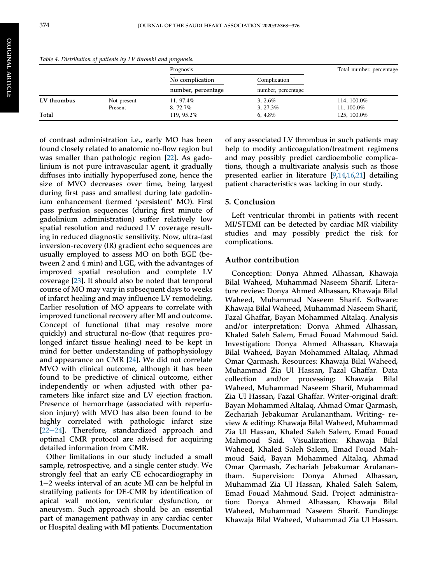ORIGINAL

**ORIGINAL ARTICLE** 

ARTICLE

<span id="page-8-0"></span>hrombi and prognosis.

|             |             | Prognosis                             |                                    | Total number, percentage |
|-------------|-------------|---------------------------------------|------------------------------------|--------------------------|
|             |             | No complication<br>number, percentage | Complication<br>number, percentage |                          |
|             |             |                                       |                                    |                          |
| LV thrombus | Not present | 11, 97.4%                             | $3, 2.6\%$                         | 114, 100.0%              |
|             | Present     | 8, 72.7%                              | $3, 27.3\%$                        | 11, 100.0%               |
| Total       |             | 119, 95.2%                            | $6.4.8\%$                          | 125, 100.0%              |

of contrast administration i.e., early MO has been found closely related to anatomic no-flow region but was smaller than pathologic region [[22\]](#page-9-21). As gadolinium is not pure intravascular agent, it gradually diffuses into initially hypoperfused zone, hence the size of MVO decreases over time, being largest during first pass and smallest during late gadolin-ium enhancement (termed 'persistent' MO). First pass perfusion sequences (during first minute of gadolinium administration) suffer relatively low spatial resolution and reduced LV coverage resulting in reduced diagnostic sensitivity. Now, ultra-fast inversion-recovery (IR) gradient echo sequences are usually employed to assess MO on both EGE (between 2 and 4 min) and LGE, with the advantages of improved spatial resolution and complete LV coverage [[23](#page-10-0)]. It should also be noted that temporal course of MO may vary in subsequent days to weeks of infarct healing and may influence LV remodeling. Earlier resolution of MO appears to correlate with improved functional recovery after MI and outcome. Concept of functional (that may resolve more quickly) and structural no-flow (that requires prolonged infarct tissue healing) need to be kept in mind for better understanding of pathophysiology and appearance on CMR [\[24](#page-10-1)]. We did not correlate MVO with clinical outcome, although it has been found to be predictive of clinical outcome, either independently or when adjusted with other parameters like infarct size and LV ejection fraction. Presence of hemorrhage (associated with reperfusion injury) with MVO has also been found to be highly correlated with pathologic infarct size  $[22-24]$  $[22-24]$  $[22-24]$ . Therefore, standardized approach and optimal CMR protocol are advised for acquiring detailed information from CMR.

Other limitations in our study included a small sample, retrospective, and a single center study. We strongly feel that an early CE echocardiography in  $1-2$  weeks interval of an acute MI can be helpful in stratifying patients for DE-CMR by identification of apical wall motion, ventricular dysfunction, or aneurysm. Such approach should be an essential part of management pathway in any cardiac center or Hospital dealing with MI patients. Documentation

of any associated LV thrombus in such patients may help to modify anticoagulation/treatment regimens and may possibly predict cardioembolic complications, though a multivariate analysis such as those presented earlier in literature [\[9](#page-9-8),[14,](#page-9-13)[16](#page-9-15)[,21](#page-9-20)] detailing patient characteristics was lacking in our study.

### 5. Conclusion

Left ventricular thrombi in patients with recent MI/STEMI can be detected by cardiac MR viability studies and may possibly predict the risk for complications.

# Author contribution

Conception: Donya Ahmed Alhassan, Khawaja Bilal Waheed, Muhammad Naseem Sharif. Literature review: Donya Ahmed Alhassan, Khawaja Bilal Waheed, Muhammad Naseem Sharif. Software: Khawaja Bilal Waheed, Muhammad Naseem Sharif, Fazal Ghaffar, Bayan Mohammed Altalaq. Analysis and/or interpretation: Donya Ahmed Alhassan, Khaled Saleh Salem, Emad Fouad Mahmoud Said. Investigation: Donya Ahmed Alhassan, Khawaja Bilal Waheed, Bayan Mohammed Altalaq, Ahmad Omar Qarmash. Resources: Khawaja Bilal Waheed, Muhammad Zia Ul Hassan, Fazal Ghaffar. Data collection and/or processing: Khawaja Bilal Waheed, Muhammad Naseem Sharif, Muhammad Zia Ul Hassan, Fazal Ghaffar. Writer-original draft: Bayan Mohammed Altalaq, Ahmad Omar Qarmash, Zechariah Jebakumar Arulanantham. Writing- review & editing: Khawaja Bilal Waheed, Muhammad Zia Ul Hassan, Khaled Saleh Salem, Emad Fouad Mahmoud Said. Visualization: Khawaja Bilal Waheed, Khaled Saleh Salem, Emad Fouad Mahmoud Said, Bayan Mohammed Altalaq, Ahmad Omar Qarmash, Zechariah Jebakumar Arulanantham. Supervision: Donya Ahmed Alhassan, Muhammad Zia Ul Hassan, Khaled Saleh Salem, Emad Fouad Mahmoud Said. Project administration: Donya Ahmed Alhassan, Khawaja Bilal Waheed, Muhammad Naseem Sharif. Fundings: Khawaja Bilal Waheed, Muhammad Zia Ul Hassan.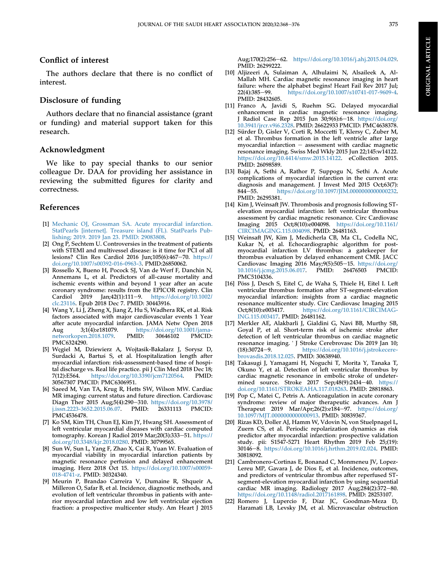# Conflict of interest

The authors declare that there is no conflict of interest.

## Disclosure of funding

Authors declare that no financial assistance (grant or funding) and material support taken for this research.

#### Acknowledgment

We like to pay special thanks to our senior colleague Dr. DAA for providing her assistance in reviewing the submitted figures for clarity and correctness.

#### References

- <span id="page-9-0"></span>[1] [Mechanic OJ, Grossman SA. Acute myocardial infarction.](http://refhub.elsevier.com/S2211-8020(13)00075-2/sref1) [StatPearls \[internet\]. Treasure island \(FL\). StatPearls Pub](http://refhub.elsevier.com/S2211-8020(13)00075-2/sref1)[lishing; 2019. 2019 Jan 23. PMID: 29083808.](http://refhub.elsevier.com/S2211-8020(13)00075-2/sref1)
- <span id="page-9-1"></span>[2] Ong P, Sechtem U. Controversies in the treatment of patients with STEMI and multivessel disease: is it time for PCI of all lesions? Clin Res Cardiol 2016 Jun;105(6):467-70. [https://](https://doi.org/10.1007/s00392-016-0963-3) [doi.org/10.1007/s00392-016-0963-3.](https://doi.org/10.1007/s00392-016-0963-3) PMID:26850062.
- <span id="page-9-2"></span>[3] Rossello X, Bueno H, Pocock SJ, Van de Werf F, Danchin N, Annemans L, et al. Predictors of all-cause mortality and ischemic events within and beyond 1 year after an acute coronary syndrome: results from the EPICOR registry. Clin Cardiol 2019 Jan;42(1):111-9. [https://doi.org/10.1002/](https://doi.org/10.1002/clc.23116) [clc.23116](https://doi.org/10.1002/clc.23116). Epub 2018 Dec 7. PMID: 30443916.
- <span id="page-9-3"></span>[4] Wang Y, Li J, Zheng X, Jiang Z, Hu S, Wadhera RK, et al. Risk factors associated with major cardiovascular events 1 Year after acute myocardial infarction. JAMA Netw Open 2018 Aug 3;1(4):e181079. https://doi.org/10.1001/jama-<br>networkopen.2018.1079. PMID: 30646102 PMCID: [networkopen.2018.1079](https://doi.org/10.1001/jamanetworkopen.2018.1079). PMC6324290.
- <span id="page-9-4"></span>[5] Węgiel M, Dziewierz A, Wojtasik-Bakalarz J, Sorysz D, Surdacki A, Bartuś S, et al. Hospitalization length after myocardial infarction: risk-assessment-based time of hospital discharge vs. Real life practice. pii J Clin Med 2018 Dec 18;<br>7(12):E564. https://doi.org/10.3390/jcm7120564. PMID: <https://doi.org/10.3390/jcm7120564>. 30567307 PMCID: PMC6306951.
- <span id="page-9-5"></span>[6] Saeed M, Van TA, Krug R, Hetts SW, Wilson MW. Cardiac MR imaging: current status and future direction. Cardiovasc Diagn Ther 2015 Aug;5(4):290-310. [https://doi.org/10.3978/](https://doi.org/10.3978/j.issn.2223-3652.2015.06.07)<br>j.issn.2223-3652.2015.06.07. PMID: 26331113 PMCID: [j.issn.2223-3652.2015.06.07.](https://doi.org/10.3978/j.issn.2223-3652.2015.06.07) PMID: PMC4536478.
- <span id="page-9-6"></span>[7] Ko SM, Kim TH, Chun EJ, Kim JY, Hwang SH. Assessment of left ventricular myocardial diseases with cardiac computed tomography. Korean J Radiol 2019 Mar;20(3):333-51. [https://](https://doi.org/10.3348/kjr.2018.0280) [doi.org/10.3348/kjr.2018.0280.](https://doi.org/10.3348/kjr.2018.0280) PMID: 30799565.
- <span id="page-9-7"></span>[8] Sun W, Sun L, Yang F, Zhao X, Cai R, Yuan W. Evaluation of myocardial viability in myocardial infarction patients by magnetic resonance perfusion and delayed enhancement imaging. Herz 2018 Oct 15. [https://doi.org/10.1007/s00059-](https://doi.org/10.1007/s00059-018-4741-z) [018-4741-z.](https://doi.org/10.1007/s00059-018-4741-z) PMID: 30324340.
- <span id="page-9-8"></span>[9] Meurin P, Brandao Carreira V, Dumaine R, Shqueir A, Milleron O, Safar B, et al. Incidence, diagnostic methods, and evolution of left ventricular thrombus in patients with anterior myocardial infarction and low left ventricular ejection fraction: a prospective multicenter study. Am Heart J 2015

Aug;170(2):256-62. <https://doi.org/10.1016/j.ahj.2015.04.029>. PMID: 26299222.

- <span id="page-9-9"></span>[10] Aljizeeri A, Sulaiman A, Alhulaimi N, Alsaileek A, Al-Mallah MH. Cardiac magnetic resonance imaging in heart failure: where the alphabet begins! Heart Fail Rev 2017 Jul;<br>22(4):385-99. https://doi.org/10.1007/s10741-017-9609-4. <https://doi.org/10.1007/s10741-017-9609-4>. PMID: 28432605.
- <span id="page-9-10"></span>[11] Franco A, Javidi S, Ruehm SG. Delayed myocardial enhancement in cardiac magnetic resonance imaging. J Radiol Case Rep 2015 Jun 30;9(6):6-18. [https://doi.org/](https://doi.org/10.3941/jrcr.v9i6.2328) [10.3941/jrcr.v9i6.2328.](https://doi.org/10.3941/jrcr.v9i6.2328) PMID: 26622933 PMCID: PMC4638378.
- <span id="page-9-11"></span>[12] Sürder D, Gisler V, Corti R, Moccetti T, Klersy C, Zuber M, et al. Thrombus formation in the left ventricle after large myocardial infarction  $-$  assessment with cardiac magnetic resonance imaging. Swiss Med Wkly 2015 Jun 22;145:w14122. [https://doi.org/10.4414/smw.2015.14122.](https://doi.org/10.4414/smw.2015.14122) eCollection 2015. PMID: 26098589.
- <span id="page-9-12"></span>[13] Bajaj A, Sethi A, Rathor P, Suppogu N, Sethi A. Acute complications of myocardial infarction in the current era: diagnosis and management. J Invest Med 2015 Oct;63(7): 844-55. <https://doi.org/10.1097/JIM.0000000000000232>. PMID: 26295381.
- <span id="page-9-13"></span>[14] Kim J, Weinsaft JW. Thrombosis and prognosis following STelevation myocardial infarction: left ventricular thrombus assessment by cardiac magnetic resonance. Circ Cardiovasc Imaging 2015 Oct;8(10):e004098. [https://doi.org/10.1161/](https://doi.org/10.1161/CIRCIMAGING.115.004098) [CIRCIMAGING.115.004098](https://doi.org/10.1161/CIRCIMAGING.115.004098). PMID: 26481163.
- <span id="page-9-14"></span>[15] Weinsaft JW, Kim J, Medicherla CB, Ma CL, Codella NC, Kukar N, et al. Echocardiographic algorithm for postmyocardial infarction LV thrombus: a gatekeeper for thrombus evaluation by delayed enhancement CMR. JACC Cardiovasc Imaging 2016 May;9(5):505-15. [https://doi.org/](https://doi.org/10.1016/j.jcmg.2015.06.017)<br>10.1016/j.jcmg.2015.06.017. PMID: 26476503 PMCID:  $10.1016$ /j.jcmg.2015.06.017. PMC5104336.
- <span id="page-9-15"></span>[16] Pöss J, Desch S, Eitel C, de Waha S, Thiele H, Eitel I. Left ventricular thrombus formation after ST-segment-elevation myocardial infarction: insights from a cardiac magnetic resonance multicenter study. Circ Cardiovasc Imaging 2015<br>Oct;8(10):e003417. https://doi.org/10.1161/CIRCIMAG[https://doi.org/10.1161/CIRCIMAG-](https://doi.org/10.1161/CIRCIMAGING.115.003417)[ING.115.003417.](https://doi.org/10.1161/CIRCIMAGING.115.003417) PMID: 26481162.
- <span id="page-9-16"></span>[17] Merkler AE, Alakbarli J, Gialdini G, Navi BB, Murthy SB, Goyal P, et al. Short-term risk of ischemic stroke after detection of left ventricular thrombus on cardiac magnetic resonance imaging. ' J Stroke Cerebrovasc Dis 2019 Jan 10; (18):30724-9. [https://doi.org/10.1016/j.jstrokecere](https://doi.org/10.1016/j.jstrokecerebrovasdis.2018.12.025)[brovasdis.2018.12.025.](https://doi.org/10.1016/j.jstrokecerebrovasdis.2018.12.025) PMID: 30638940.
- <span id="page-9-17"></span>[18] Takasugi J, Yamagami H, Noguchi T, Morita Y, Tanaka T, Okuno Y, et al. Detection of left ventricular thrombus by cardiac magnetic resonance in embolic stroke of undetermined source. Stroke 2017 Sep;48(9):2434-40. [https://](https://doi.org/10.1161/STROKEAHA.117.018263) [doi.org/10.1161/STROKEAHA.117.018263](https://doi.org/10.1161/STROKEAHA.117.018263). PMID: 28818863.
- <span id="page-9-18"></span>[19] Pop C, Matei C, Petris A. Anticoagulation in acute coronary syndrome: review of major therapeutic advances. Am J Therapeut 2019  $Mar/Apr;26(2):e\overline{184-97}$ . [https://doi.org/](https://doi.org/10.1097/MJT.0000000000000913) [10.1097/MJT.0000000000000913](https://doi.org/10.1097/MJT.0000000000000913). PMID: 30839367.
- <span id="page-9-19"></span>[20] Rizas KD, Doller AJ, Hamm W, Vdovin N, von Stuelpnagel L, Zuern CS, et al. Periodic repolarization dynamics as risk predictor after myocardial infarction: prospective validation study. pii: S1547-5271 Heart Rhythm 2019 Feb 25;(19): 30146-8. [https://doi.org/10.1016/j.hrthm.2019.02.024.](https://doi.org/10.1016/j.hrthm.2019.02.024) PMID: 30818092.
- <span id="page-9-20"></span>[21] Cambronero-Cortinas E, Bonanad C, Monmeneu JV, Lopez-Lereu MP, Gavara J, de Dios E, et al. Incidence, outcomes, and predictors of ventricular thrombus after reperfused STsegment-elevation myocardial infarction by using sequential cardiac MR imaging. Radiology 2017 Aug; $284(2):372-80$ . [https://doi.org/10.1148/radiol.2017161898.](https://doi.org/10.1148/radiol.2017161898) PMID: 28253107.
- <span id="page-9-21"></span>[22] Romero J, Lupercio F, Díaz JC, Goodman-Meza D, Haramati LB, Levsky JM, et al. Microvascular obstruction